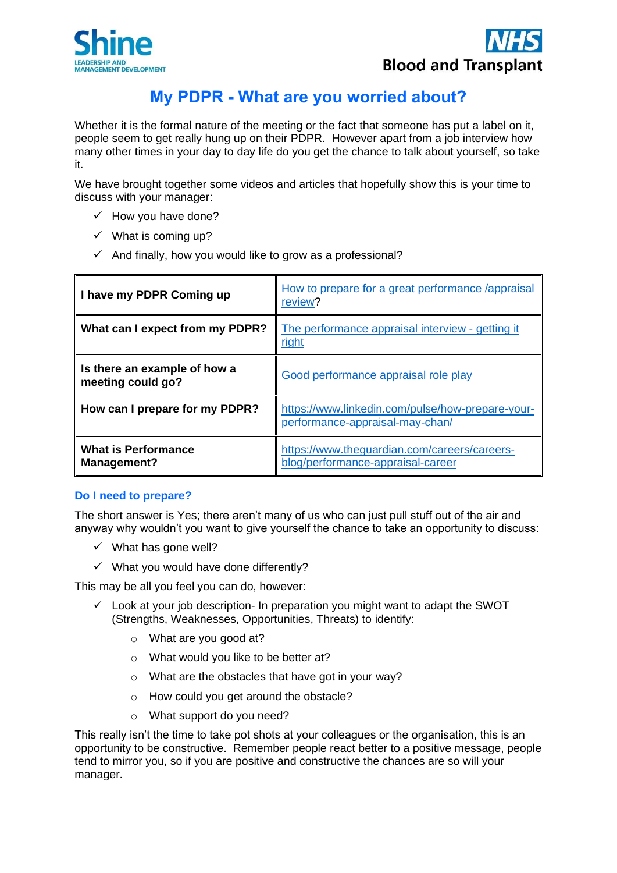



# **My PDPR - What are you worried about?**

Whether it is the formal nature of the meeting or the fact that someone has put a label on it, people seem to get really hung up on their PDPR. However apart from a job interview how many other times in your day to day life do you get the chance to talk about yourself, so take it.

We have brought together some videos and articles that hopefully show this is your time to discuss with your manager:

- $\checkmark$  How you have done?
- $\checkmark$  What is coming up?
- $\checkmark$  And finally, how you would like to grow as a professional?

| I have my PDPR Coming up                          | How to prepare for a great performance /appraisal<br>review?                        |
|---------------------------------------------------|-------------------------------------------------------------------------------------|
| What can I expect from my PDPR?                   | The performance appraisal interview - getting it<br>right                           |
| Is there an example of how a<br>meeting could go? | Good performance appraisal role play                                                |
| How can I prepare for my PDPR?                    | https://www.linkedin.com/pulse/how-prepare-your-<br>performance-appraisal-may-chan/ |
| <b>What is Performance</b><br>Management?         | https://www.thequardian.com/careers/careers-<br>blog/performance-appraisal-career   |

## **Do I need to prepare?**

The short answer is Yes; there aren't many of us who can just pull stuff out of the air and anyway why wouldn't you want to give yourself the chance to take an opportunity to discuss:

- $\checkmark$  What has gone well?
- $\checkmark$  What you would have done differently?

This may be all you feel you can do, however:

- $\checkmark$  Look at your job description- In preparation you might want to adapt the SWOT (Strengths, Weaknesses, Opportunities, Threats) to identify:
	- o What are you good at?
	- o What would you like to be better at?
	- o What are the obstacles that have got in your way?
	- o How could you get around the obstacle?
	- o What support do you need?

This really isn't the time to take pot shots at your colleagues or the organisation, this is an opportunity to be constructive. Remember people react better to a positive message, people tend to mirror you, so if you are positive and constructive the chances are so will your manager.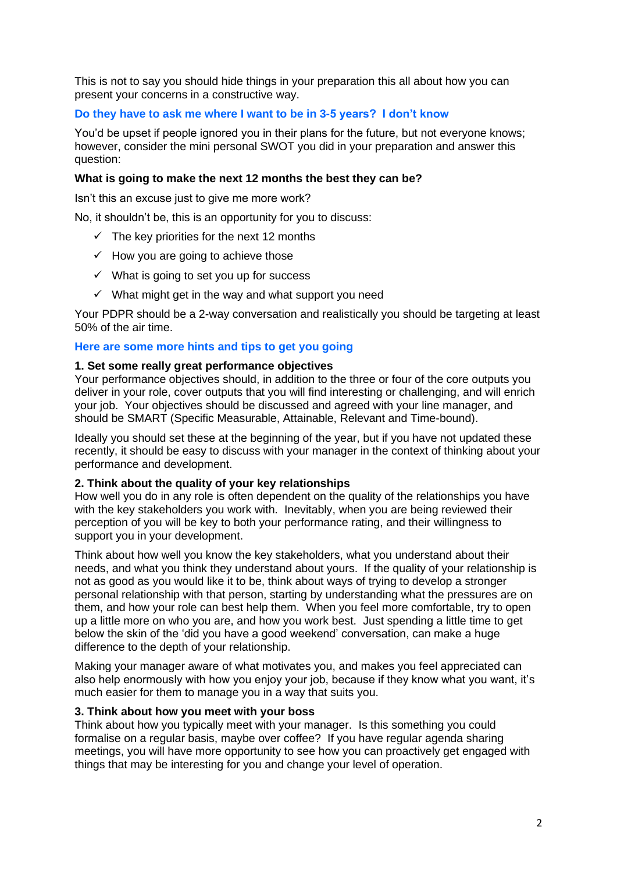This is not to say you should hide things in your preparation this all about how you can present your concerns in a constructive way.

# **Do they have to ask me where I want to be in 3-5 years? I don't know**

You'd be upset if people ignored you in their plans for the future, but not everyone knows; however, consider the mini personal SWOT you did in your preparation and answer this question:

# **What is going to make the next 12 months the best they can be?**

Isn't this an excuse just to give me more work?

No, it shouldn't be, this is an opportunity for you to discuss:

- $\checkmark$  The key priorities for the next 12 months
- $\checkmark$  How you are going to achieve those
- $\checkmark$  What is going to set you up for success
- $\checkmark$  What might get in the way and what support you need

Your PDPR should be a 2-way conversation and realistically you should be targeting at least 50% of the air time.

#### **Here are some more hints and tips to get you going**

#### **1. Set some really great performance objectives**

Your performance objectives should, in addition to the three or four of the core outputs you deliver in your role, cover outputs that you will find interesting or challenging, and will enrich your job. Your objectives should be discussed and agreed with your line manager, and should be SMART (Specific Measurable, Attainable, Relevant and Time-bound).

Ideally you should set these at the beginning of the year, but if you have not updated these recently, it should be easy to discuss with your manager in the context of thinking about your performance and development.

#### **2. Think about the quality of your key relationships**

How well you do in any role is often dependent on the quality of the relationships you have with the key stakeholders you work with. Inevitably, when you are being reviewed their perception of you will be key to both your performance rating, and their willingness to support you in your development.

Think about how well you know the key stakeholders, what you understand about their needs, and what you think they understand about yours. If the quality of your relationship is not as good as you would like it to be, think about ways of trying to develop a stronger personal relationship with that person, starting by understanding what the pressures are on them, and how your role can best help them. When you feel more comfortable, try to open up a little more on who you are, and how you work best. Just spending a little time to get below the skin of the 'did you have a good weekend' conversation, can make a huge difference to the depth of your relationship.

Making your manager aware of what motivates you, and makes you feel appreciated can also help enormously with how you enjoy your job, because if they know what you want, it's much easier for them to manage you in a way that suits you.

## **3. Think about how you meet with your boss**

Think about how you typically meet with your manager. Is this something you could formalise on a regular basis, maybe over coffee? If you have regular agenda sharing meetings, you will have more opportunity to see how you can proactively get engaged with things that may be interesting for you and change your level of operation.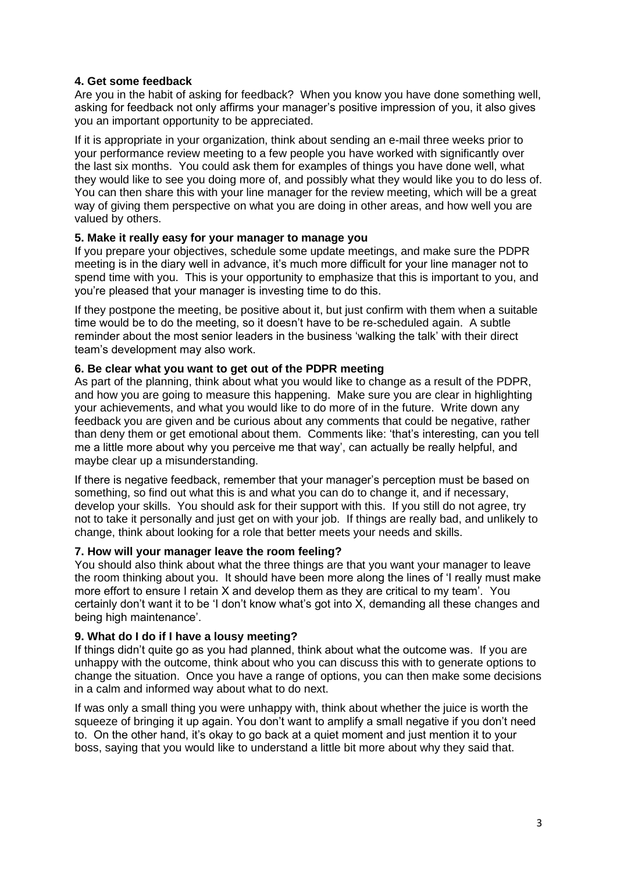# **4. Get some feedback**

Are you in the habit of asking for feedback? When you know you have done something well, asking for feedback not only affirms your manager's positive impression of you, it also gives you an important opportunity to be appreciated.

If it is appropriate in your organization, think about sending an e-mail three weeks prior to your performance review meeting to a few people you have worked with significantly over the last six months. You could ask them for examples of things you have done well, what they would like to see you doing more of, and possibly what they would like you to do less of. You can then share this with your line manager for the review meeting, which will be a great way of giving them perspective on what you are doing in other areas, and how well you are valued by others.

## **5. Make it really easy for your manager to manage you**

If you prepare your objectives, schedule some update meetings, and make sure the PDPR meeting is in the diary well in advance, it's much more difficult for your line manager not to spend time with you. This is your opportunity to emphasize that this is important to you, and you're pleased that your manager is investing time to do this.

If they postpone the meeting, be positive about it, but just confirm with them when a suitable time would be to do the meeting, so it doesn't have to be re-scheduled again. A subtle reminder about the most senior leaders in the business 'walking the talk' with their direct team's development may also work.

# **6. Be clear what you want to get out of the PDPR meeting**

As part of the planning, think about what you would like to change as a result of the PDPR, and how you are going to measure this happening. Make sure you are clear in highlighting your achievements, and what you would like to do more of in the future. Write down any feedback you are given and be curious about any comments that could be negative, rather than deny them or get emotional about them. Comments like: 'that's interesting, can you tell me a little more about why you perceive me that way', can actually be really helpful, and maybe clear up a misunderstanding.

If there is negative feedback, remember that your manager's perception must be based on something, so find out what this is and what you can do to change it, and if necessary, develop your skills. You should ask for their support with this. If you still do not agree, try not to take it personally and just get on with your job. If things are really bad, and unlikely to change, think about looking for a role that better meets your needs and skills.

# **7. How will your manager leave the room feeling?**

You should also think about what the three things are that you want your manager to leave the room thinking about you. It should have been more along the lines of 'I really must make more effort to ensure I retain X and develop them as they are critical to my team'. You certainly don't want it to be 'I don't know what's got into X, demanding all these changes and being high maintenance'.

## **9. What do I do if I have a lousy meeting?**

If things didn't quite go as you had planned, think about what the outcome was. If you are unhappy with the outcome, think about who you can discuss this with to generate options to change the situation. Once you have a range of options, you can then make some decisions in a calm and informed way about what to do next.

If was only a small thing you were unhappy with, think about whether the juice is worth the squeeze of bringing it up again. You don't want to amplify a small negative if you don't need to. On the other hand, it's okay to go back at a quiet moment and just mention it to your boss, saying that you would like to understand a little bit more about why they said that.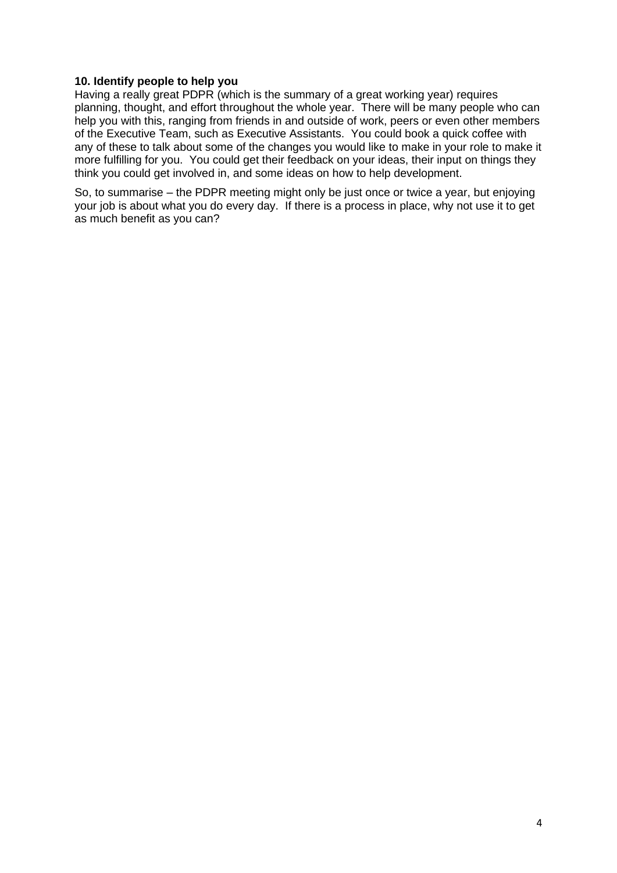#### **10. Identify people to help you**

Having a really great PDPR (which is the summary of a great working year) requires planning, thought, and effort throughout the whole year. There will be many people who can help you with this, ranging from friends in and outside of work, peers or even other members of the Executive Team, such as Executive Assistants. You could book a quick coffee with any of these to talk about some of the changes you would like to make in your role to make it more fulfilling for you. You could get their feedback on your ideas, their input on things they think you could get involved in, and some ideas on how to help development.

So, to summarise – the PDPR meeting might only be just once or twice a year, but enjoying your job is about what you do every day. If there is a process in place, why not use it to get as much benefit as you can?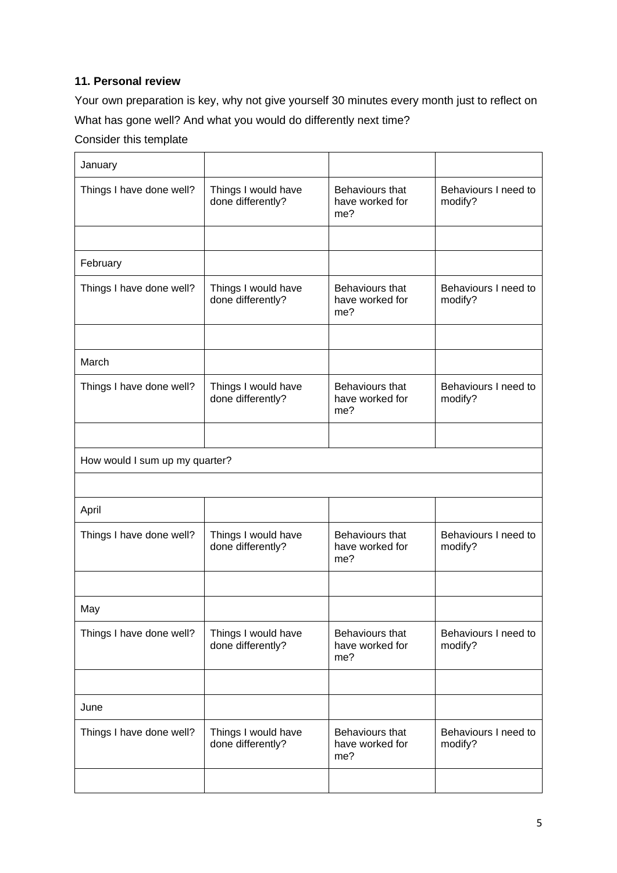# **11. Personal review**

Your own preparation is key, why not give yourself 30 minutes every month just to reflect on What has gone well? And what you would do differently next time?

# Consider this template

| January                        |                                          |                                           |                                 |
|--------------------------------|------------------------------------------|-------------------------------------------|---------------------------------|
| Things I have done well?       | Things I would have<br>done differently? | Behaviours that<br>have worked for<br>me? | Behaviours I need to<br>modify? |
|                                |                                          |                                           |                                 |
| February                       |                                          |                                           |                                 |
| Things I have done well?       | Things I would have<br>done differently? | Behaviours that<br>have worked for<br>me? | Behaviours I need to<br>modify? |
|                                |                                          |                                           |                                 |
| March                          |                                          |                                           |                                 |
| Things I have done well?       | Things I would have<br>done differently? | Behaviours that<br>have worked for<br>me? | Behaviours I need to<br>modify? |
|                                |                                          |                                           |                                 |
| How would I sum up my quarter? |                                          |                                           |                                 |
|                                |                                          |                                           |                                 |
| April                          |                                          |                                           |                                 |
| Things I have done well?       | Things I would have<br>done differently? | Behaviours that<br>have worked for<br>me? | Behaviours I need to<br>modify? |
|                                |                                          |                                           |                                 |
| May                            |                                          |                                           |                                 |
| Things I have done well?       | Things I would have<br>done differently? | Behaviours that<br>have worked for<br>me? | Behaviours I need to<br>modify? |
|                                |                                          |                                           |                                 |
| June                           |                                          |                                           |                                 |
| Things I have done well?       | Things I would have<br>done differently? | Behaviours that<br>have worked for<br>me? | Behaviours I need to<br>modify? |
|                                |                                          |                                           |                                 |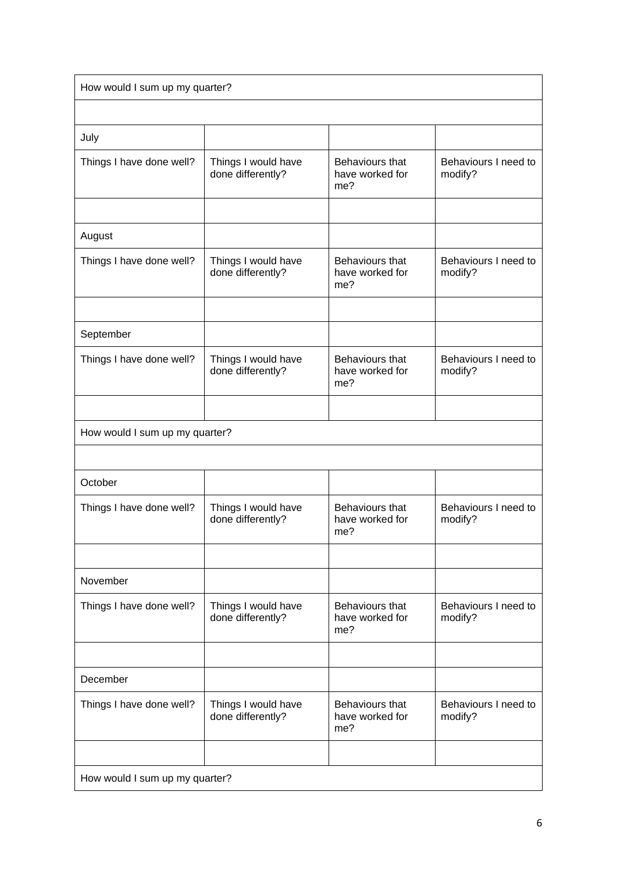| How would I sum up my quarter? |                                          |                                           |                                 |  |
|--------------------------------|------------------------------------------|-------------------------------------------|---------------------------------|--|
|                                |                                          |                                           |                                 |  |
| July                           |                                          |                                           |                                 |  |
| Things I have done well?       | Things I would have<br>done differently? | Behaviours that<br>have worked for<br>me? | Behaviours I need to<br>modify? |  |
|                                |                                          |                                           |                                 |  |
| August                         |                                          |                                           |                                 |  |
| Things I have done well?       | Things I would have<br>done differently? | Behaviours that<br>have worked for<br>me? | Behaviours I need to<br>modify? |  |
|                                |                                          |                                           |                                 |  |
| September                      |                                          |                                           |                                 |  |
| Things I have done well?       | Things I would have<br>done differently? | Behaviours that<br>have worked for<br>me? | Behaviours I need to<br>modify? |  |
|                                |                                          |                                           |                                 |  |
| How would I sum up my quarter? |                                          |                                           |                                 |  |
|                                |                                          |                                           |                                 |  |
| October                        |                                          |                                           |                                 |  |
| Things I have done well?       | Things I would have<br>done differently? | Behaviours that<br>have worked for<br>me? | Behaviours I need to<br>modify? |  |
|                                |                                          |                                           |                                 |  |
| November                       |                                          |                                           |                                 |  |
| Things I have done well?       | Things I would have<br>done differently? | Behaviours that<br>have worked for<br>me? | Behaviours I need to<br>modify? |  |
|                                |                                          |                                           |                                 |  |
| December                       |                                          |                                           |                                 |  |
| Things I have done well?       | Things I would have<br>done differently? | Behaviours that<br>have worked for<br>me? | Behaviours I need to<br>modify? |  |
|                                |                                          |                                           |                                 |  |
| How would I sum up my quarter? |                                          |                                           |                                 |  |